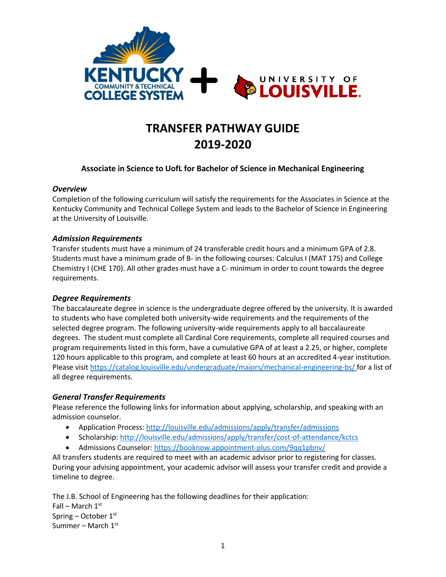

# **TRANSFER PATHWAY GUIDE 2019-2020**

## **Associate in Science to UofL for Bachelor of Science in Mechanical Engineering**

#### *Overview*

Completion of the following curriculum will satisfy the requirements for the Associates in Science at the Kentucky Community and Technical College System and leads to the Bachelor of Science in Engineering at the University of Louisville.

#### *Admission Requirements*

Transfer students must have a minimum of 24 transferable credit hours and a minimum GPA of 2.8. Students must have a minimum grade of B- in the following courses: Calculus I (MAT 175) and College Chemistry I (CHE 170). All other grades must have a C- minimum in order to count towards the degree requirements.

## *Degree Requirements*

The baccalaureate degree in science is the undergraduate degree offered by the university. It is awarded to students who have completed both university-wide requirements and the requirements of the selected degree program. The following university-wide requirements apply to all baccalaureate degrees. The student must complete all Cardinal Core requirements, complete all required courses and program requirements listed in this form, have a cumulative GPA of at least a 2.25, or higher, complete 120 hours applicable to this program, and complete at least 60 hours at an accredited 4-year institution. Please visi[t https://catalog.louisville.edu/undergraduate/majors/mechanical-engineering-bs/](https://catalog.louisville.edu/undergraduate/majors/mechanical-engineering-bs/) for a list of all degree requirements.

## *General Transfer Requirements*

Please reference the following links for information about applying, scholarship, and speaking with an admission counselor.

- Application Process[: http://louisville.edu/admissions/apply/transfer/admissions](http://louisville.edu/admissions/apply/transfer/admissions)
- Scholarship[: http://louisville.edu/admissions/apply/transfer/cost-of-attendance/kctcs](http://louisville.edu/admissions/apply/transfer/cost-of-attendance/kctcs)
- Admissions Counselor[: https://booknow.appointment-plus.com/9qq1pbnv/](https://booknow.appointment-plus.com/9qq1pbnv/)

All transfers students are required to meet with an academic advisor prior to registering for classes. During your advising appointment, your academic advisor will assess your transfer credit and provide a timeline to degree.

The J.B. School of Engineering has the following deadlines for their application: Fall – March  $1<sup>st</sup>$ Spring – October 1st Summer – March  $1<sup>st</sup>$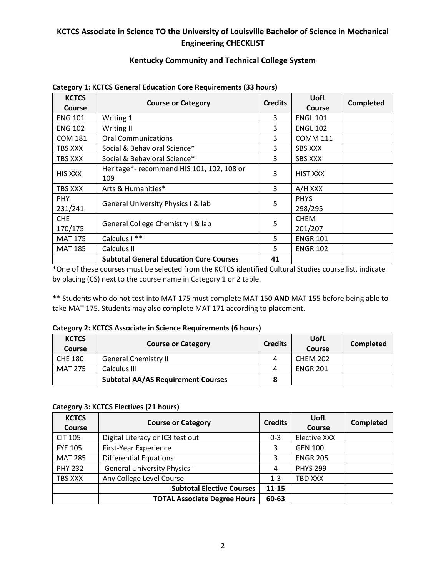# **KCTCS Associate in Science TO the University of Louisville Bachelor of Science in Mechanical Engineering CHECKLIST**

# **Kentucky Community and Technical College System**

| <b>KCTCS</b><br><b>Course</b> | <b>Course or Category</b>                        | <b>Credits</b> | <b>UofL</b><br><b>Course</b> | Completed |
|-------------------------------|--------------------------------------------------|----------------|------------------------------|-----------|
| <b>ENG 101</b>                | Writing 1                                        | 3              | <b>ENGL 101</b>              |           |
| <b>ENG 102</b>                | Writing II                                       | 3              | <b>ENGL 102</b>              |           |
| <b>COM 181</b>                | <b>Oral Communications</b>                       | 3              | <b>COMM 111</b>              |           |
| TBS XXX                       | Social & Behavioral Science*                     | 3              | <b>SBS XXX</b>               |           |
| TBS XXX                       | Social & Behavioral Science*                     | 3              | <b>SBS XXX</b>               |           |
| <b>HIS XXX</b>                | Heritage*- recommend HIS 101, 102, 108 or<br>109 | 3              | <b>HIST XXX</b>              |           |
| <b>TBS XXX</b>                | Arts & Humanities*                               | 3              | A/H XXX                      |           |
| <b>PHY</b><br>231/241         | General University Physics I & lab               | 5              | <b>PHYS</b><br>298/295       |           |
| <b>CHE</b><br>170/175         | General College Chemistry I & lab                | 5              | <b>CHEM</b><br>201/207       |           |
| <b>MAT 175</b>                | Calculus I **                                    | 5              | <b>ENGR 101</b>              |           |
| <b>MAT 185</b>                | Calculus II                                      | 5              | <b>ENGR 102</b>              |           |
|                               | <b>Subtotal General Education Core Courses</b>   | 41             |                              |           |

#### **Category 1: KCTCS General Education Core Requirements (33 hours)**

\*One of these courses must be selected from the KCTCS identified Cultural Studies course list, indicate by placing (CS) next to the course name in Category 1 or 2 table.

\*\* Students who do not test into MAT 175 must complete MAT 150 **AND** MAT 155 before being able to take MAT 175. Students may also complete MAT 171 according to placement.

#### **Category 2: KCTCS Associate in Science Requirements (6 hours)**

| <b>KCTCS</b><br>Course | <b>Course or Category</b>                 | <b>Credits</b> | UofL<br>Course  | Completed |
|------------------------|-------------------------------------------|----------------|-----------------|-----------|
| <b>CHE 180</b>         | <b>General Chemistry II</b>               | 4              | <b>CHEM 202</b> |           |
| <b>MAT 275</b>         | Calculus III                              | 4              | <b>ENGR 201</b> |           |
|                        | <b>Subtotal AA/AS Requirement Courses</b> | 8              |                 |           |

#### **Category 3: KCTCS Electives (21 hours)**

| <b>KCTCS</b><br>Course | <b>Course or Category</b>            | <b>Credits</b> | UofL<br>Course      | <b>Completed</b> |
|------------------------|--------------------------------------|----------------|---------------------|------------------|
| <b>CIT 105</b>         | Digital Literacy or IC3 test out     | $0 - 3$        | <b>Elective XXX</b> |                  |
| <b>FYE 105</b>         | First-Year Experience                | 3              | <b>GEN 100</b>      |                  |
| <b>MAT 285</b>         | <b>Differential Equations</b>        | 3              | <b>ENGR 205</b>     |                  |
| <b>PHY 232</b>         | <b>General University Physics II</b> | 4              | <b>PHYS 299</b>     |                  |
| TBS XXX                | Any College Level Course             | $1 - 3$        | TBD XXX             |                  |
|                        | <b>Subtotal Elective Courses</b>     | $11 - 15$      |                     |                  |
|                        | <b>TOTAL Associate Degree Hours</b>  | 60-63          |                     |                  |